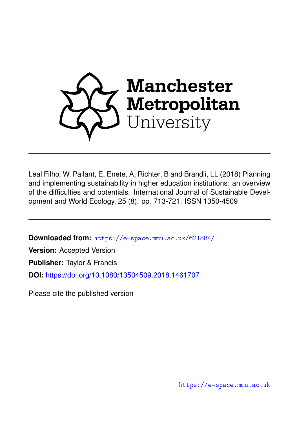

Leal Filho, W, Pallant, E, Enete, A, Richter, B and Brandli, LL (2018) Planning and implementing sustainability in higher education institutions: an overview of the difficulties and potentials. International Journal of Sustainable Development and World Ecology, 25 (8). pp. 713-721. ISSN 1350-4509

**Downloaded from:** <https://e-space.mmu.ac.uk/621884/>

**Version:** Accepted Version

**Publisher:** Taylor & Francis

**DOI:** <https://doi.org/10.1080/13504509.2018.1461707>

Please cite the published version

<https://e-space.mmu.ac.uk>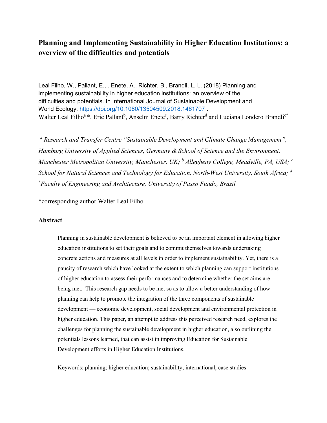# **Planning and Implementing Sustainability in Higher Education Institutions: a overview of the difficulties and potentials**

Leal Filho, W., Pallant, E., . Enete, A., Richter, B., Brandli, L. L. (2018) Planning and implementing sustainability in higher education institutions: an overview of the difficulties and potentials. In International Journal of Sustainable Development and World Ecology.<https://doi.org/10.1080/13504509.2018.1461707> . Walter Leal Filho<sup>a</sup>\*, Eric Pallant<sup>b</sup>, Anselm Enete<sup>c</sup>, Barry Richter<sup>d</sup> and Luciana Londero Brandli<sup>e\*</sup>

*<sup>a</sup> Research and Transfer Centre "Sustainable Development and Climate Change Management", Hamburg University of Applied Sciences, Germany & School of Science and the Environment, Manchester Metropolitan University, Manchester, UK; b Allegheny College, Meadville, PA, USA; c School for Natural Sciences and Technology for Education, North-West University, South Africa; d \* Faculty of Engineering and Architecture, University of Passo Fundo, Brazil.*

\*corresponding author Walter Leal Filho

## **Abstract**

Planning in sustainable development is believed to be an important element in allowing higher education institutions to set their goals and to commit themselves towards undertaking concrete actions and measures at all levels in order to implement sustainability. Yet, there is a paucity of research which have looked at the extent to which planning can support institutions of higher education to assess their performances and to determine whether the set aims are being met. This research gap needs to be met so as to allow a better understanding of how planning can help to promote the integration of the three components of sustainable development — economic development, social development and environmental protection in higher education. This paper, an attempt to address this perceived research need, explores the challenges for planning the sustainable development in higher education, also outlining the potentials lessons learned, that can assist in improving Education for Sustainable Development efforts in Higher Education Institutions.

Keywords: planning; higher education; sustainability; international; case studies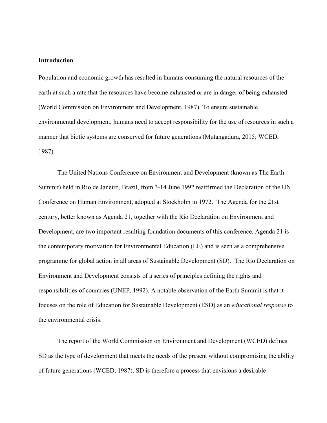## **Introduction**

Population and economic growth has resulted in humans consuming the natural resources of the earth at such a rate that the resources have become exhausted or are in danger of being exhausted (World Commission on Environment and Development, 1987). To ensure sustainable environmental development, humans need to accept responsibility for the use of resources in such a manner that biotic systems are conserved for future generations (Mutangadura, 2015; WCED, 1987).

The United Nations Conference on Environment and Development (known as The Earth Summit) held in Rio de Janeiro, Brazil, from 3-14 June 1992 reaffirmed the Declaration of the UN Conference on Human Environment, adopted at Stockholm in 1972. The Agenda for the 21st century, better known as Agenda 21, together with the Rio Declaration on Environment and Development, are two important resulting foundation documents of this conference. Agenda 21 is the contemporary motivation for Environmental Education (EE) and is seen as a comprehensive programme for global action in all areas of Sustainable Development (SD). The Rio Declaration on Environment and Development consists of a series of principles defining the rights and responsibilities of countries (UNEP, 1992). A notable observation of the Earth Summit is that it focuses on the role of Education for Sustainable Development (ESD) as an *educational response* to the environmental crisis.

The report of the World Commission on Environment and Development (WCED) defines SD as the type of development that meets the needs of the present without compromising the ability of future generations (WCED, 1987). SD is therefore a process that envisions a desirable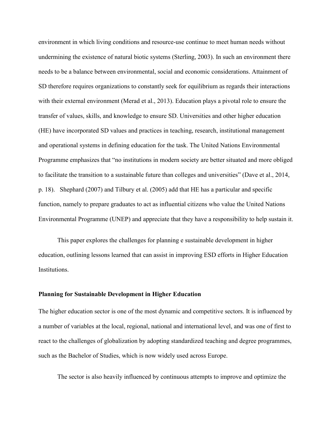environment in which living conditions and resource-use continue to meet human needs without undermining the existence of natural biotic systems (Sterling, 2003). In such an environment there needs to be a balance between environmental, social and economic considerations. Attainment of SD therefore requires organizations to constantly seek for equilibrium as regards their interactions with their external environment (Merad et al., 2013). Education plays a pivotal role to ensure the transfer of values, skills, and knowledge to ensure SD. Universities and other higher education (HE) have incorporated SD values and practices in teaching, research, institutional management and operational systems in defining education for the task. The United Nations Environmental Programme emphasizes that "no institutions in modern society are better situated and more obliged to facilitate the transition to a sustainable future than colleges and universities" (Dave et al., 2014, p. 18). Shephard (2007) and Tilbury et al. (2005) add that HE has a particular and specific function, namely to prepare graduates to act as influential citizens who value the United Nations Environmental Programme (UNEP) and appreciate that they have a responsibility to help sustain it.

This paper explores the challenges for planning e sustainable development in higher education, outlining lessons learned that can assist in improving ESD efforts in Higher Education Institutions.

## **Planning for Sustainable Development in Higher Education**

The higher education sector is one of the most dynamic and competitive sectors. It is influenced by a number of variables at the local, regional, national and international level, and was one of first to react to the challenges of globalization by adopting standardized teaching and degree programmes, such as the Bachelor of Studies, which is now widely used across Europe.

The sector is also heavily influenced by continuous attempts to improve and optimize the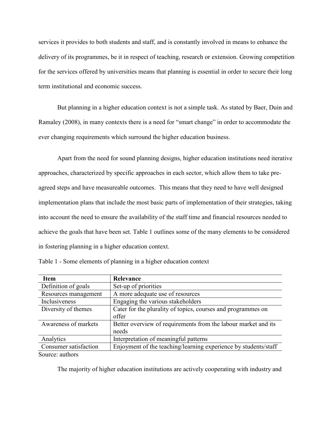services it provides to both students and staff, and is constantly involved in means to enhance the delivery of its programmes, be it in respect of teaching, research or extension. Growing competition for the services offered by universities means that planning is essential in order to secure their long term institutional and economic success.

But planning in a higher education context is not a simple task. As stated by Baer, Duin and Ramaley (2008), in many contexts there is a need for "smart change" in order to accommodate the ever changing requirements which surround the higher education business.

Apart from the need for sound planning designs, higher education institutions need iterative approaches, characterized by specific approaches in each sector, which allow them to take preagreed steps and have measureable outcomes. This means that they need to have well designed implementation plans that include the most basic parts of implementation of their strategies, taking into account the need to ensure the availability of the staff time and financial resources needed to achieve the goals that have been set. Table 1 outlines some of the many elements to be considered in fostering planning in a higher education context.

| <b>Item</b>           | Relevance                                                       |  |  |  |
|-----------------------|-----------------------------------------------------------------|--|--|--|
| Definition of goals   | Set-up of priorities                                            |  |  |  |
| Resources management  | A more adequate use of resources                                |  |  |  |
| Inclusiveness         | Engaging the various stakeholders                               |  |  |  |
| Diversity of themes   | Cater for the plurality of topics, courses and programmes on    |  |  |  |
|                       | offer                                                           |  |  |  |
| Awareness of markets  | Better overview of requirements from the labour market and its  |  |  |  |
|                       | needs                                                           |  |  |  |
| Analytics             | Interpretation of meaningful patterns                           |  |  |  |
| Consumer satisfaction | Enjoyment of the teaching/learning experience by students/staff |  |  |  |
| Source: authors       |                                                                 |  |  |  |

Table 1 - Some elements of planning in a higher education context

Source: authors

The majority of higher education institutions are actively cooperating with industry and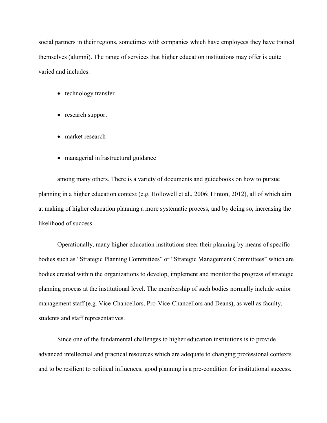social partners in their regions, sometimes with companies which have employees they have trained themselves (alumni). The range of services that higher education institutions may offer is quite varied and includes:

- technology transfer
- research support
- market research
- managerial infrastructural guidance

among many others. There is a variety of documents and guidebooks on how to pursue planning in a higher education context (e.g. Hollowell et al., 2006; Hinton, 2012), all of which aim at making of higher education planning a more systematic process, and by doing so, increasing the likelihood of success.

Operationally, many higher education institutions steer their planning by means of specific bodies such as "Strategic Planning Committees" or "Strategic Management Committees" which are bodies created within the organizations to develop, implement and monitor the progress of strategic planning process at the institutional level. The membership of such bodies normally include senior management staff (e.g. Vice-Chancellors, Pro-Vice-Chancellors and Deans), as well as faculty, students and staff representatives.

Since one of the fundamental challenges to higher education institutions is to provide advanced intellectual and practical resources which are adequate to changing professional contexts and to be resilient to political influences, good planning is a pre-condition for institutional success.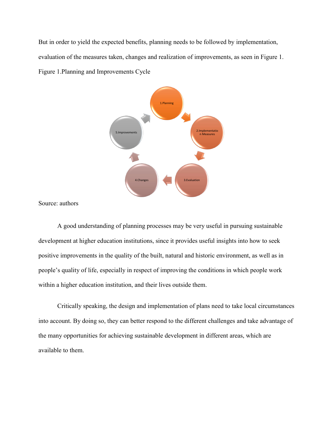But in order to yield the expected benefits, planning needs to be followed by implementation, evaluation of the measures taken, changes and realization of improvements, as seen in Figure 1. Figure 1.Planning and Improvements Cycle



Source: authors

A good understanding of planning processes may be very useful in pursuing sustainable development at higher education institutions, since it provides useful insights into how to seek positive improvements in the quality of the built, natural and historic environment, as well as in people's quality of life, especially in respect of improving the conditions in which people work within a higher education institution, and their lives outside them.

Critically speaking, the design and implementation of plans need to take local circumstances into account. By doing so, they can better respond to the different challenges and take advantage of the many opportunities for achieving sustainable development in different areas, which are available to them.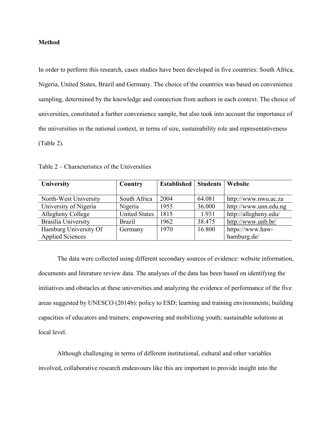## **Method**

In order to perform this research, cases studies have been developed in five countries: South Africa, Nigeria, United States, Brazil and Germany. The choice of the countries was based on convenience sampling, determined by the knowledge and connection from authors in each context. The choice of universities, constituted a further convenience sample, but also took into account the importance of the universities in the national context, in terms of size, sustainability role and representativeness (Table 2).

| <b>University</b>       | Country              | <b>Established   Students  </b> |        | Website               |
|-------------------------|----------------------|---------------------------------|--------|-----------------------|
|                         |                      |                                 |        |                       |
| North-West University   | South Africa         | 2004                            | 64.081 | http://www.nwu.ac.za  |
| University of Nigeria   | Nigeria              | 1955                            | 36.000 | http://www.unn.edu.ng |
| Allegheny College       | <b>United States</b> | 1815                            | 1.931  | http://allegheny.edu/ |
| Brasilia University     | <b>Brazil</b>        | 1962                            | 38.475 | http://www.unb.br/    |
| Hamburg University Of   | Germany              | 1970                            | 16.800 | https://www.haw-      |
| <b>Applied Sciences</b> |                      |                                 |        | hamburg.de/           |

Table 2 – Characteristics of the Universities

The data were collected using different secondary sources of evidence: website information, documents and literature review data. The analyses of the data has been based on identifying the initiatives and obstacles at these universities and analyzing the evidence of performance of the five areas suggested by UNESCO (2014b): policy to ESD; learning and training environments; building capacities of educators and trainers; empowering and mobilizing youth; sustainable solutions at local level.

Although challenging in terms of different institutional, cultural and other variables involved, collaborative research endeavours like this are important to provide insight into the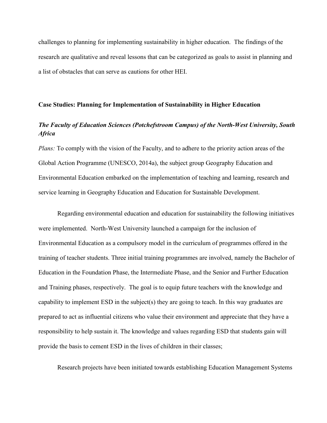challenges to planning for implementing sustainability in higher education. The findings of the research are qualitative and reveal lessons that can be categorized as goals to assist in planning and a list of obstacles that can serve as cautions for other HEI.

## **Case Studies: Planning for Implementation of Sustainability in Higher Education**

## *The Faculty of Education Sciences (Potchefstroom Campus) of the North-West University, South Africa*

*Plans:* To comply with the vision of the Faculty, and to adhere to the priority action areas of the Global Action Programme (UNESCO, 2014a), the subject group Geography Education and Environmental Education embarked on the implementation of teaching and learning, research and service learning in Geography Education and Education for Sustainable Development.

Regarding environmental education and education for sustainability the following initiatives were implemented. North-West University launched a campaign for the inclusion of Environmental Education as a compulsory model in the curriculum of programmes offered in the training of teacher students. Three initial training programmes are involved, namely the Bachelor of Education in the Foundation Phase, the Intermediate Phase, and the Senior and Further Education and Training phases, respectively. The goal is to equip future teachers with the knowledge and capability to implement ESD in the subject(s) they are going to teach. In this way graduates are prepared to act as influential citizens who value their environment and appreciate that they have a responsibility to help sustain it. The knowledge and values regarding ESD that students gain will provide the basis to cement ESD in the lives of children in their classes;

Research projects have been initiated towards establishing Education Management Systems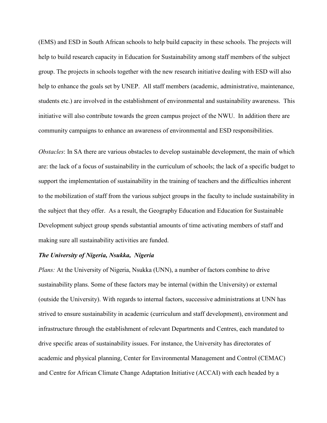(EMS) and ESD in South African schools to help build capacity in these schools. The projects will help to build research capacity in Education for Sustainability among staff members of the subject group. The projects in schools together with the new research initiative dealing with ESD will also help to enhance the goals set by UNEP. All staff members (academic, administrative, maintenance, students etc.) are involved in the establishment of environmental and sustainability awareness. This initiative will also contribute towards the green campus project of the NWU. In addition there are community campaigns to enhance an awareness of environmental and ESD responsibilities.

*Obstacles*: In SA there are various obstacles to develop sustainable development, the main of which are: the lack of a focus of sustainability in the curriculum of schools; the lack of a specific budget to support the implementation of sustainability in the training of teachers and the difficulties inherent to the mobilization of staff from the various subject groups in the faculty to include sustainability in the subject that they offer. As a result, the Geography Education and Education for Sustainable Development subject group spends substantial amounts of time activating members of staff and making sure all sustainability activities are funded.

#### *The University of Nigeria, Nsukka, Nigeria*

*Plans:* At the University of Nigeria, Nsukka (UNN), a number of factors combine to drive sustainability plans. Some of these factors may be internal (within the University) or external (outside the University). With regards to internal factors, successive administrations at UNN has strived to ensure sustainability in academic (curriculum and staff development), environment and infrastructure through the establishment of relevant Departments and Centres, each mandated to drive specific areas of sustainability issues. For instance, the University has directorates of academic and physical planning, Center for Environmental Management and Control (CEMAC) and Centre for African Climate Change Adaptation Initiative (ACCAI) with each headed by a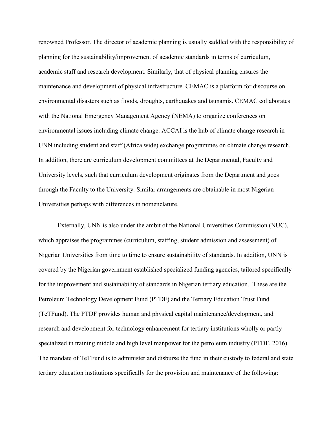renowned Professor. The director of academic planning is usually saddled with the responsibility of planning for the sustainability/improvement of academic standards in terms of curriculum, academic staff and research development. Similarly, that of physical planning ensures the maintenance and development of physical infrastructure. CEMAC is a platform for discourse on environmental disasters such as floods, droughts, earthquakes and tsunamis. CEMAC collaborates with the National Emergency Management Agency (NEMA) to organize conferences on environmental issues including climate change. ACCAI is the hub of climate change research in UNN including student and staff (Africa wide) exchange programmes on climate change research. In addition, there are curriculum development committees at the Departmental, Faculty and University levels, such that curriculum development originates from the Department and goes through the Faculty to the University. Similar arrangements are obtainable in most Nigerian Universities perhaps with differences in nomenclature.

Externally, UNN is also under the ambit of the National Universities Commission (NUC), which appraises the programmes (curriculum, staffing, student admission and assessment) of Nigerian Universities from time to time to ensure sustainability of standards. In addition, UNN is covered by the Nigerian government established specialized funding agencies, tailored specifically for the improvement and sustainability of standards in Nigerian tertiary education. These are the Petroleum Technology Development Fund (PTDF) and the Tertiary Education Trust Fund (TeTFund). The PTDF provides human and physical capital maintenance/development, and research and development for technology enhancement for tertiary institutions wholly or partly specialized in training middle and high level manpower for the petroleum industry (PTDF, 2016). The mandate of TeTFund is to administer and disburse the fund in their custody to federal and state tertiary education institutions specifically for the provision and maintenance of the following: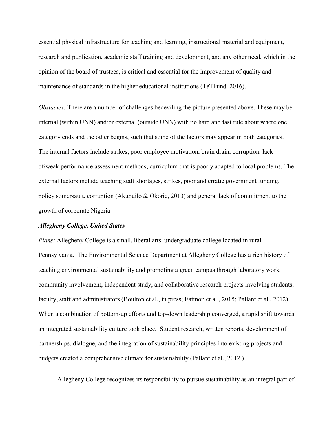essential physical infrastructure for teaching and learning, instructional material and equipment, research and publication, academic staff training and development, and any other need, which in the opinion of the board of trustees, is critical and essential for the improvement of quality and maintenance of standards in the higher educational institutions (TeTFund, 2016).

*Obstacles:* There are a number of challenges bedeviling the picture presented above. These may be internal (within UNN) and/or external (outside UNN) with no hard and fast rule about where one category ends and the other begins, such that some of the factors may appear in both categories. The internal factors include strikes, poor employee motivation, brain drain, corruption, lack of/weak performance assessment methods, curriculum that is poorly adapted to local problems. The external factors include teaching staff shortages, strikes, poor and erratic government funding, policy somersault, corruption (Akubuilo & Okorie, 2013) and general lack of commitment to the growth of corporate Nigeria.

#### *Allegheny College, United States*

*Plans:* Allegheny College is a small, liberal arts, undergraduate college located in rural Pennsylvania. The Environmental Science Department at Allegheny College has a rich history of teaching environmental sustainability and promoting a green campus through laboratory work, community involvement, independent study, and collaborative research projects involving students, faculty, staff and administrators (Boulton et al., in press; Eatmon et al., 2015; Pallant et al., 2012). When a combination of bottom-up efforts and top-down leadership converged, a rapid shift towards an integrated sustainability culture took place. Student research, written reports, development of partnerships, dialogue, and the integration of sustainability principles into existing projects and budgets created a comprehensive climate for sustainability (Pallant et al., 2012.)

Allegheny College recognizes its responsibility to pursue sustainability as an integral part of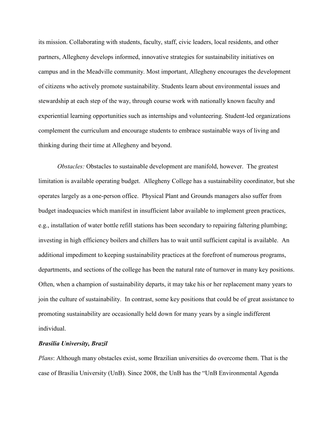its mission. Collaborating with students, faculty, staff, civic leaders, local residents, and other partners, Allegheny develops informed, innovative strategies for sustainability initiatives on campus and in the Meadville community. Most important, Allegheny encourages the development of citizens who actively promote sustainability. Students learn about environmental issues and stewardship at each step of the way, through course work with nationally known faculty and experiential learning opportunities such as internships and volunteering. Student-led organizations complement the curriculum and encourage students to embrace sustainable ways of living and thinking during their time at Allegheny and beyond.

*Obstacles:* Obstacles to sustainable development are manifold, however. The greatest limitation is available operating budget. Allegheny College has a sustainability coordinator, but she operates largely as a one-person office. Physical Plant and Grounds managers also suffer from budget inadequacies which manifest in insufficient labor available to implement green practices, e.g., installation of water bottle refill stations has been secondary to repairing faltering plumbing; investing in high efficiency boilers and chillers has to wait until sufficient capital is available. An additional impediment to keeping sustainability practices at the forefront of numerous programs, departments, and sections of the college has been the natural rate of turnover in many key positions. Often, when a champion of sustainability departs, it may take his or her replacement many years to join the culture of sustainability. In contrast, some key positions that could be of great assistance to promoting sustainability are occasionally held down for many years by a single indifferent individual.

## *Brasilia University, Brazil*

*Plans*: Although many obstacles exist, some Brazilian universities do overcome them. That is the case of Brasilia University (UnB). Since 2008, the UnB has the "UnB Environmental Agenda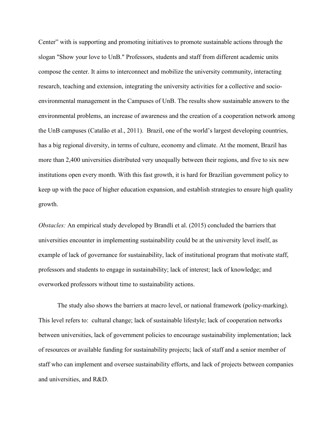Center" with is supporting and promoting initiatives to promote sustainable actions through the slogan "Show your love to UnB." Professors, students and staff from different academic units compose the center. It aims to interconnect and mobilize the university community, interacting research, teaching and extension, integrating the university activities for a collective and socioenvironmental management in the Campuses of UnB. The results show sustainable answers to the environmental problems, an increase of awareness and the creation of a cooperation network among the UnB campuses (Catalão et al., 2011). Brazil, one of the world's largest developing countries, has a big regional diversity, in terms of culture, economy and climate. At the moment, Brazil has more than 2,400 universities distributed very unequally between their regions, and five to six new institutions open every month. With this fast growth, it is hard for Brazilian government policy to keep up with the pace of higher education expansion, and establish strategies to ensure high quality growth.

*Obstacles:* An empirical study developed by Brandli et al. (2015) concluded the barriers that universities encounter in implementing sustainability could be at the university level itself, as example of lack of governance for sustainability, lack of institutional program that motivate staff, professors and students to engage in sustainability; lack of interest; lack of knowledge; and overworked professors without time to sustainability actions.

The study also shows the barriers at macro level, or national framework (policy-marking). This level refers to: cultural change; lack of sustainable lifestyle; lack of cooperation networks between universities, lack of government policies to encourage sustainability implementation; lack of resources or available funding for sustainability projects; lack of staff and a senior member of staff who can implement and oversee sustainability efforts, and lack of projects between companies and universities, and R&D.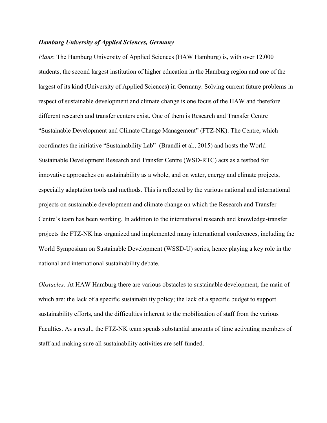## *Hamburg University of Applied Sciences, Germany*

*Plans*: The Hamburg University of Applied Sciences (HAW Hamburg) is, with over 12.000 students, the second largest institution of higher education in the Hamburg region and one of the largest of its kind (University of Applied Sciences) in Germany. Solving current future problems in respect of sustainable development and climate change is one focus of the HAW and therefore different research and transfer centers exist. One of them is Research and Transfer Centre "Sustainable Development and Climate Change Management" (FTZ-NK). The Centre, which coordinates the initiative "Sustainability Lab" (Brandli et al., 2015) and hosts the World Sustainable Development Research and Transfer Centre (WSD-RTC) acts as a testbed for innovative approaches on sustainability as a whole, and on water, energy and climate projects, especially adaptation tools and methods. This is reflected by the various national and international projects on sustainable development and climate change on which the Research and Transfer Centre's team has been working. In addition to the international research and knowledge-transfer projects the FTZ-NK has organized and implemented many international conferences, including the World Symposium on Sustainable Development (WSSD-U) series, hence playing a key role in the national and international sustainability debate.

*Obstacles:* At HAW Hamburg there are various obstacles to sustainable development, the main of which are: the lack of a specific sustainability policy; the lack of a specific budget to support sustainability efforts, and the difficulties inherent to the mobilization of staff from the various Faculties. As a result, the FTZ-NK team spends substantial amounts of time activating members of staff and making sure all sustainability activities are self-funded.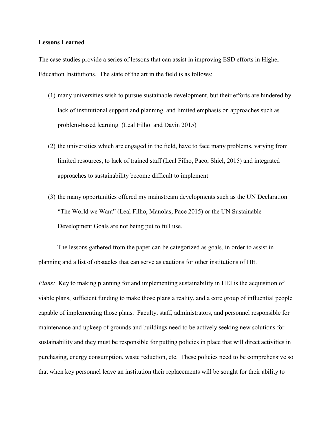## **Lessons Learned**

The case studies provide a series of lessons that can assist in improving ESD efforts in Higher Education Institutions. The state of the art in the field is as follows:

- (1) many universities wish to pursue sustainable development, but their efforts are hindered by lack of institutional support and planning, and limited emphasis on approaches such as problem-based learning (Leal Filho and Davin 2015)
- (2) the universities which are engaged in the field, have to face many problems, varying from limited resources, to lack of trained staff (Leal Filho, Paco, Shiel, 2015) and integrated approaches to sustainability become difficult to implement
- (3) the many opportunities offered my mainstream developments such as the UN Declaration "The World we Want" (Leal Filho, Manolas, Pace 2015) or the UN Sustainable Development Goals are not being put to full use.

The lessons gathered from the paper can be categorized as goals, in order to assist in planning and a list of obstacles that can serve as cautions for other institutions of HE.

*Plans:* Key to making planning for and implementing sustainability in HEI is the acquisition of viable plans, sufficient funding to make those plans a reality, and a core group of influential people capable of implementing those plans. Faculty, staff, administrators, and personnel responsible for maintenance and upkeep of grounds and buildings need to be actively seeking new solutions for sustainability and they must be responsible for putting policies in place that will direct activities in purchasing, energy consumption, waste reduction, etc. These policies need to be comprehensive so that when key personnel leave an institution their replacements will be sought for their ability to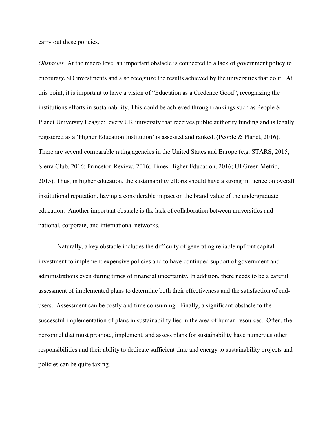carry out these policies.

*Obstacles:* At the macro level an important obstacle is connected to a lack of government policy to encourage SD investments and also recognize the results achieved by the universities that do it. At this point, it is important to have a vision of "Education as a Credence Good", recognizing the institutions efforts in sustainability. This could be achieved through rankings such as People  $\&$ Planet University League: every UK university that receives public authority funding and is legally registered as a 'Higher Education Institution' is assessed and ranked. (People & Planet, 2016). There are several comparable rating agencies in the United States and Europe (e.g. STARS, 2015; Sierra Club, 2016; Princeton Review, 2016; Times Higher Education, 2016; UI Green Metric, 2015). Thus, in higher education, the sustainability efforts should have a strong influence on overall institutional reputation, having a considerable impact on the brand value of the undergraduate education. Another important obstacle is the lack of collaboration between universities and national, corporate, and international networks.

Naturally, a key obstacle includes the difficulty of generating reliable upfront capital investment to implement expensive policies and to have continued support of government and administrations even during times of financial uncertainty. In addition, there needs to be a careful assessment of implemented plans to determine both their effectiveness and the satisfaction of endusers. Assessment can be costly and time consuming. Finally, a significant obstacle to the successful implementation of plans in sustainability lies in the area of human resources. Often, the personnel that must promote, implement, and assess plans for sustainability have numerous other responsibilities and their ability to dedicate sufficient time and energy to sustainability projects and policies can be quite taxing.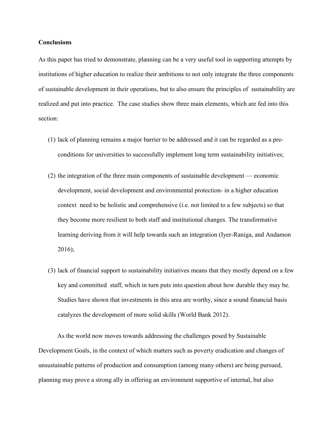## **Conclusions**

As this paper has tried to demonstrate, planning can be a very useful tool in supporting attempts by institutions of higher education to realize their ambitions to not only integrate the three components of sustainable development in their operations, but to also ensure the principles of sustainability are realized and put into practice. The case studies show three main elements, which are fed into this section:

- (1) lack of planning remains a major barrier to be addressed and it can be regarded as a preconditions for universities to successfully implement long term sustainability initiatives;
- (2) the integration of the three main components of sustainable development economic development, social development and environmental protection- in a higher education context need to be holistic and comprehensive (i.e. not limited to a few subjects) so that they become more resilient to both staff and institutional changes. The transformative learning deriving from it will help towards such an integration (Iyer-Raniga, and Andamon 2016);
- (3) lack of financial support to sustainability initiatives means that they mostly depend on a few key and committed staff, which in turn puts into question about how durable they may be. Studies have shown that investments in this area are worthy, since a sound financial basis catalyzes the development of more solid skills (World Bank 2012).

As the world now moves towards addressing the challenges posed by Sustainable Development Goals, in the context of which matters such as poverty eradication and changes of unsustainable patterns of production and consumption (among many others) are being pursued, planning may prove a strong ally in offering an environment supportive of internal, but also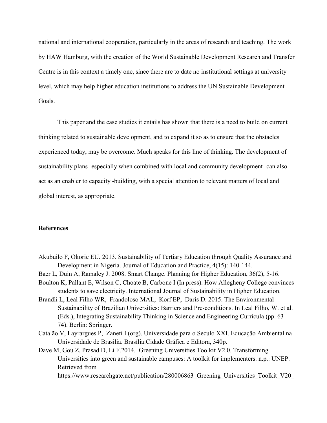national and international cooperation, particularly in the areas of research and teaching. The work by HAW Hamburg, with the creation of the World Sustainable Development Research and Transfer Centre is in this context a timely one, since there are to date no institutional settings at university level, which may help higher education institutions to address the UN Sustainable Development Goals.

This paper and the case studies it entails has shown that there is a need to build on current thinking related to sustainable development, and to expand it so as to ensure that the obstacles experienced today, may be overcome. Much speaks for this line of thinking. The development of sustainability plans -especially when combined with local and community development- can also act as an enabler to capacity -building, with a special attention to relevant matters of local and global interest, as appropriate.

## **References**

- Akubuilo F, Okorie EU. 2013. Sustainability of Tertiary Education through Quality Assurance and Development in Nigeria. Journal of Education and Practice, 4(15): 140-144.
- Baer L, Duin A, Ramaley J. 2008. Smart Change. Planning for Higher Education, 36(2), 5-16. Boulton K, Pallant E, Wilson C, Choate B, Carbone I (In press). How Allegheny College convinces

students to save electricity. International Journal of Sustainability in Higher Education.

- Brandli L, Leal Filho WR, Frandoloso MAL, Korf EP, Daris D. 2015. The Environmental Sustainability of Brazilian Universities: Barriers and Pre-conditions. In Leal Filho, W. et al. (Eds.), Integrating Sustainability Thinking in Science and Engineering Curricula (pp. 63- 74). Berlin: Springer.
- Catalão V, Layrargues P, Zaneti I (org). Universidade para o Seculo XXI. Educação Ambiental na Universidade de Brasilia. Brasília:Cidade Gráfica e Editora, 340p.
- Dave M, Gou Z, Prasad D, Li F.2014. Greening Universities Toolkit V2.0. Transforming Universities into green and sustainable campuses: A toolkit for implementers. n.p.: UNEP. Retrieved from https://www.researchgate.net/publication/280006863 Greening Universities Toolkit V20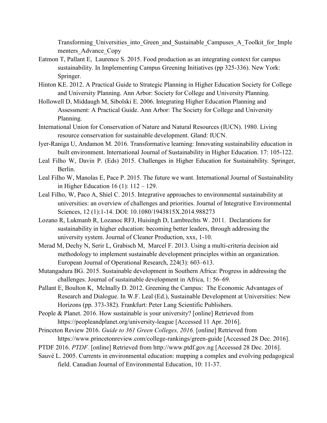Transforming Universities into Green and Sustainable Campuses A Toolkit for Imple menters Advance Copy

- Eatmon T, Pallant E, Laurence S. 2015. Food production as an integrating context for campus sustainability. In Implementing Campus Greening Initiatives (pp 325-336). New York: Springer.
- Hinton KE. 2012. A Practical Guide to Strategic Planning in Higher Education Society for College and University Planning. Ann Arbor: Society for College and University Planning.
- Hollowell D, Middaugh M, Sibolski E. 2006. Integrating Higher Education Planning and Assessment: A Practical Guide. Ann Arbor: The Society for College and University Planning.
- International Union for Conservation of Nature and Natural Resources (IUCN). 1980. Living resource conservation for sustainable development. Gland: IUCN.
- Iyer-Raniga U, Andamon M. 2016. Transformative learning: Innovating sustainability education in built environment. International Journal of Sustainability in Higher Education. 17: 105-122.
- Leal Filho W, Davin P. (Eds) 2015. Challenges in Higher Education for Sustainability*.* Springer, Berlin.
- Leal Filho W, Manolas E, Pace P. 2015. The future we want. International Journal of Sustainability in Higher Education 16 (1): 112 – 129.
- Leal Filho, W, Paco A, Shiel C. 2015. Integrative approaches to environmental sustainability at universities: an overview of challenges and priorities. Journal of Integrative Environmental Sciences, 12 (1):1-14. DOI: 10.1080/1943815X.2014.988273
- Lozano R, Lukmanb R, Lozanoc RFJ, Huisingh D, Lambrechts W. 2011. Declarations for sustainability in higher education: becoming better leaders, through addressing the university system. Journal of Cleaner Production, xxx, 1-10.
- Merad M, Dechy N, Serir L, Grabisch M, Marcel F. 2013. Using a multi-criteria decision aid methodology to implement sustainable development principles within an organization. European Journal of Operational Research, 224(3): 603–613.
- Mutangadura BG. 2015. Sustainable development in Southern Africa: Progress in addressing the challenges. Journal of sustainable development in Africa, 1: 56–69.
- Pallant E, Boulton K, McInally D. 2012[.](https://drive.google.com/file/d/0B6teMK7I8v5hQW9lS3g4UGYzTk0/view?usp=sharing) [Greening the Campus: The Economic Advantages of](https://drive.google.com/file/d/0B6teMK7I8v5hQW9lS3g4UGYzTk0/view?usp=sharing)  [Research and Dialogue.](https://drive.google.com/file/d/0B6teMK7I8v5hQW9lS3g4UGYzTk0/view?usp=sharing) In W.F. Leal (Ed.), Sustainable Development at Universities: New Horizons (pp. 373-382). Frankfurt: Peter Lang Scientific Publishers.
- People & Planet. 2016. How sustainable is your university? [online] Retrieved from <https://peopleandplanet.org/university-league> [Accessed 11 Apr. 2016].
- Princeton Review 2016. *Guide to 361 Green Colleges, 2016.* [online] Retrieved from <https://www.princetonreview.com/college-rankings/green-guide> [Accessed 28 Dec. 2016].
- PTDF 2016. *PTDF.* [online] Retrieved from [http://www.ptdf.gov.ng](http://www.ptdf.gov.ng/) [Accessed 28 Dec. 2016].
- Sauvé L. 2005. Currents in environmental education: mapping a complex and evolving pedagogical field. Canadian Journal of Environmental Education, 10: 11-37.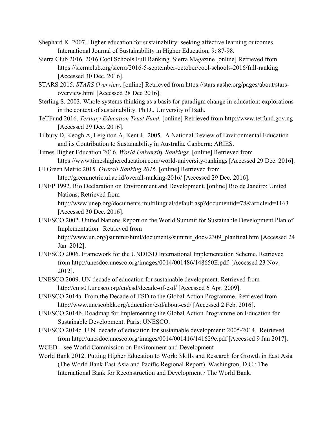- Shephard K. 2007. Higher education for sustainability: seeking affective learning outcomes. International Journal of Sustainability in Higher Education, 9: 87-98.
- Sierra Club 2016. 2016 Cool Schools Full Ranking. Sierra Magazine [online] Retrieved from <https://sierraclub.org/sierra/2016-5-september-october/cool-schools-2016/full-ranking> [Accessed 30 Dec. 2016].
- STARS 2015. *STARS Overview.* [online] Retrieved from [https://stars.aashe.org/pages/about/stars](https://stars.aashe.org/pages/about/stars-overview.html)[overview.html](https://stars.aashe.org/pages/about/stars-overview.html) [Accessed 28 Dec 2016].
- Sterling S. 2003. Whole systems thinking as a basis for paradigm change in education: explorations in the context of sustainability. Ph.D., University of Bath.
- TeTFund 2016. *Tertiary Education Trust Fund.* [online] Retrieved from [http://www.tetfund.gov.ng](http://www.tetfund.gov.ng/) [Accessed 29 Dec. 2016].
- Tilbury D, Keogh A, Leighton A, Kent J. 2005. A National Review of Environmental Education and its Contribution to Sustainability in Australia*.* Canberra: ARIES.
- Times Higher Education 2016. *World University Rankings.* [online] Retrieved from <https://www.timeshighereducation.com/world-university-rankings> [Accessed 29 Dec. 2016].
- UI Green Metric 2015. *Overall Ranking 2016*. [online] Retrieved from <http://greenmetric.ui.ac.id/overall-ranking-2016/> [Accessed 29 Dec. 2016].
- UNEP 1992. Rio Declaration on Environment and Development. [online] Rio de Janeiro: United Nations. Retrieved from http://www.unep.org/documents.multilingual/default.asp?documentid=78&articleid=1163
	- [Accessed 30 Dec. 2016].
- UNESCO 2002. United Nations Report on the World Summit for Sustainable Development Plan of Implementation. Retrieved from http://www.un.org/jsummit/html/documents/summit\_docs/2309\_planfinal.htm [Accessed 24 Jan. 2012].
- UNESCO 2006. Framework for the UNDESD International Implementation Scheme. Retrieved from http://unesdoc.unesco.org/images/0014/001486/148650E.pdf. [Accessed 23 Nov. 2012].
- UNESCO 2009. UN decade of education for sustainable development. Retrieved from http://cms01.unesco.org/en/esd/decade-of-esd/ [Accessed 6 Apr. 2009].
- UNESCO 2014a. From the Decade of ESD to the Global Action Programme. [Retrieved from](http://www.unescobkk.org/education/esd/about-esd/)  <http://www.unescobkk.org/education/esd/about-esd/> [Accessed 2 Feb. 2016].
- UNESCO 2014b. Roadmap for Implementing the Global Action Programme on Education for Sustainable Development. Paris: UNESCO.
- UNESCO 2014c. U.N. decade of education for sustainable development: 2005-2014. Retrieved from http://unesdoc.unesco.org/images/0014/001416/141629e.pdf [Accessed 9 Jan 2017].
- WCED see World Commission on Environment and Development
- World Bank 2012. Putting Higher Education to Work: Skills and Research for Growth in East Asia (The World Bank East Asia and Pacific Regional Report). Washington, D.C.: The International Bank for Reconstruction and Development / The World Bank.